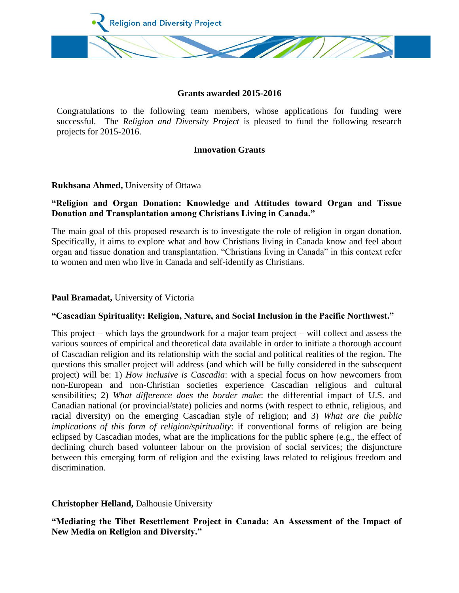

#### **Grants awarded 2015-2016**

Congratulations to the following team members, whose applications for funding were successful. The *Religion and Diversity Project* is pleased to fund the following research projects for 2015-2016.

#### **Innovation Grants**

## **Rukhsana Ahmed,** University of Ottawa

# **"Religion and Organ Donation: Knowledge and Attitudes toward Organ and Tissue Donation and Transplantation among Christians Living in Canada."**

The main goal of this proposed research is to investigate the role of religion in organ donation. Specifically, it aims to explore what and how Christians living in Canada know and feel about organ and tissue donation and transplantation. "Christians living in Canada" in this context refer to women and men who live in Canada and self-identify as Christians.

#### **Paul Bramadat,** University of Victoria

#### **"Cascadian Spirituality: Religion, Nature, and Social Inclusion in the Pacific Northwest."**

This project – which lays the groundwork for a major team project – will collect and assess the various sources of empirical and theoretical data available in order to initiate a thorough account of Cascadian religion and its relationship with the social and political realities of the region. The questions this smaller project will address (and which will be fully considered in the subsequent project) will be: 1) *How inclusive is Cascadia*: with a special focus on how newcomers from non-European and non-Christian societies experience Cascadian religious and cultural sensibilities; 2) *What difference does the border make*: the differential impact of U.S. and Canadian national (or provincial/state) policies and norms (with respect to ethnic, religious, and racial diversity) on the emerging Cascadian style of religion; and 3) *What are the public implications of this form of religion/spirituality*: if conventional forms of religion are being eclipsed by Cascadian modes, what are the implications for the public sphere (e.g., the effect of declining church based volunteer labour on the provision of social services; the disjuncture between this emerging form of religion and the existing laws related to religious freedom and discrimination.

## **Christopher Helland,** Dalhousie University

**"Mediating the Tibet Resettlement Project in Canada: An Assessment of the Impact of New Media on Religion and Diversity."**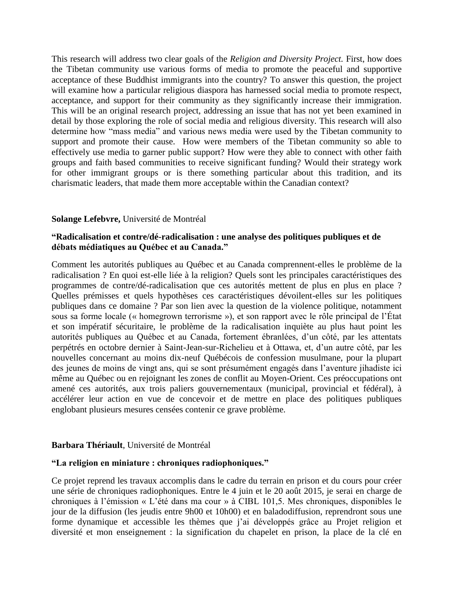This research will address two clear goals of the *Religion and Diversity Project.* First, how does the Tibetan community use various forms of media to promote the peaceful and supportive acceptance of these Buddhist immigrants into the country? To answer this question, the project will examine how a particular religious diaspora has harnessed social media to promote respect, acceptance, and support for their community as they significantly increase their immigration. This will be an original research project, addressing an issue that has not yet been examined in detail by those exploring the role of social media and religious diversity. This research will also determine how "mass media" and various news media were used by the Tibetan community to support and promote their cause. How were members of the Tibetan community so able to effectively use media to garner public support? How were they able to connect with other faith groups and faith based communities to receive significant funding? Would their strategy work for other immigrant groups or is there something particular about this tradition, and its charismatic leaders, that made them more acceptable within the Canadian context?

#### **Solange Lefebvre,** Université de Montréal

## **"Radicalisation et contre/dé-radicalisation : une analyse des politiques publiques et de débats médiatiques au Québec et au Canada."**

Comment les autorités publiques au Québec et au Canada comprennent-elles le problème de la radicalisation ? En quoi est-elle liée à la religion? Quels sont les principales caractéristiques des programmes de contre/dé-radicalisation que ces autorités mettent de plus en plus en place ? Quelles prémisses et quels hypothèses ces caractéristiques dévoilent-elles sur les politiques publiques dans ce domaine ? Par son lien avec la question de la violence politique, notamment sous sa forme locale (« homegrown terrorisme »), et son rapport avec le rôle principal de l'État et son impératif sécuritaire, le problème de la radicalisation inquiète au plus haut point les autorités publiques au Québec et au Canada, fortement ébranlées, d'un côté, par les attentats perpétrés en octobre dernier à Saint-Jean-sur-Richelieu et à Ottawa, et, d'un autre côté, par les nouvelles concernant au moins dix-neuf Québécois de confession musulmane, pour la plupart des jeunes de moins de vingt ans, qui se sont présumément engagés dans l'aventure jihadiste ici même au Québec ou en rejoignant les zones de conflit au Moyen-Orient. Ces préoccupations ont amené ces autorités, aux trois paliers gouvernementaux (municipal, provincial et fédéral), à accélérer leur action en vue de concevoir et de mettre en place des politiques publiques englobant plusieurs mesures censées contenir ce grave problème.

## **Barbara Thériault**, Université de Montréal

## **"La religion en miniature : chroniques radiophoniques."**

Ce projet reprend les travaux accomplis dans le cadre du terrain en prison et du cours pour créer une série de chroniques radiophoniques. Entre le 4 juin et le 20 août 2015, je serai en charge de chroniques à l'émission « L'été dans ma cour » à CIBL 101,5. Mes chroniques, disponibles le jour de la diffusion (les jeudis entre 9h00 et 10h00) et en baladodiffusion, reprendront sous une forme dynamique et accessible les thèmes que j'ai développés grâce au Projet religion et diversité et mon enseignement : la signification du chapelet en prison, la place de la clé en